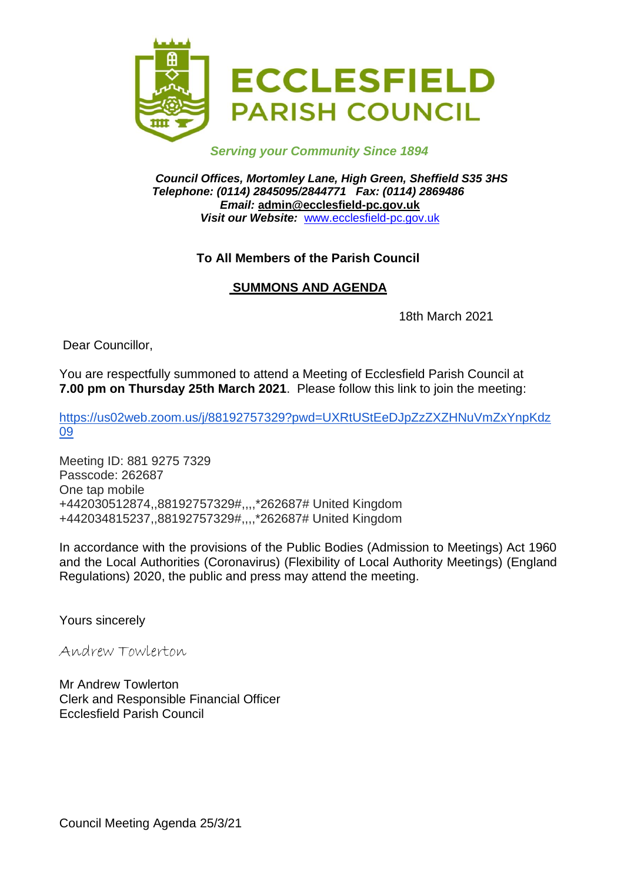

## *Serving your Community Since 1894*

*Council Offices, Mortomley Lane, High Green, Sheffield S35 3HS Telephone: (0114) 2845095/2844771 Fax: (0114) 2869486 Email:* **admin@ecclesfield-pc.gov.uk** *Visit our Website:* [www.ecclesfield-pc.gov.uk](http://www.ecclesfield-pc.gov.uk/)

## **To All Members of the Parish Council**

# **SUMMONS AND AGENDA**

18th March 2021

Dear Councillor,

You are respectfully summoned to attend a Meeting of Ecclesfield Parish Council at **7.00 pm on Thursday 25th March 2021**. Please follow this link to join the meeting:

[https://us02web.zoom.us/j/88192757329?pwd=UXRtUStEeDJpZzZXZHNuVmZxYnpKdz](https://us02web.zoom.us/j/88192757329?pwd=UXRtUStEeDJpZzZXZHNuVmZxYnpKdz09) [09](https://us02web.zoom.us/j/88192757329?pwd=UXRtUStEeDJpZzZXZHNuVmZxYnpKdz09)

Meeting ID: 881 9275 7329 Passcode: 262687 One tap mobile +442030512874,,88192757329#,,,,\*262687# United Kingdom +442034815237,,88192757329#,,,,\*262687# United Kingdom

In accordance with the provisions of the Public Bodies (Admission to Meetings) Act 1960 and the Local Authorities (Coronavirus) (Flexibility of Local Authority Meetings) (England Regulations) 2020, the public and press may attend the meeting.

Yours sincerely

Andrew Towlerton

Mr Andrew Towlerton Clerk and Responsible Financial Officer Ecclesfield Parish Council

Council Meeting Agenda 25/3/21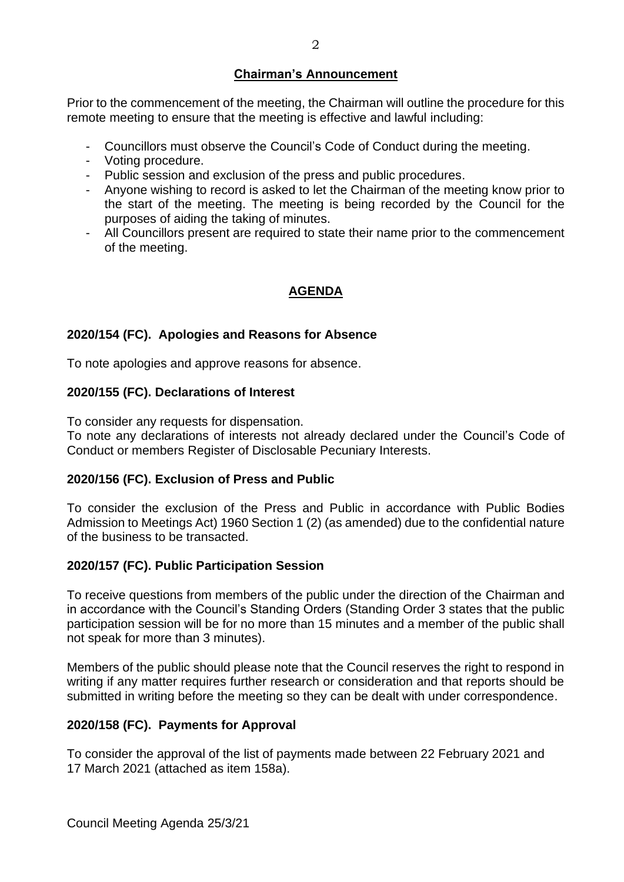## **Chairman's Announcement**

Prior to the commencement of the meeting, the Chairman will outline the procedure for this remote meeting to ensure that the meeting is effective and lawful including:

- Councillors must observe the Council's Code of Conduct during the meeting.
- Voting procedure.
- Public session and exclusion of the press and public procedures.
- Anyone wishing to record is asked to let the Chairman of the meeting know prior to the start of the meeting. The meeting is being recorded by the Council for the purposes of aiding the taking of minutes.
- All Councillors present are required to state their name prior to the commencement of the meeting.

# **AGENDA**

#### **2020/154 (FC). Apologies and Reasons for Absence**

To note apologies and approve reasons for absence.

#### **2020/155 (FC). Declarations of Interest**

To consider any requests for dispensation.

To note any declarations of interests not already declared under the Council's Code of Conduct or members Register of Disclosable Pecuniary Interests.

#### **2020/156 (FC). Exclusion of Press and Public**

To consider the exclusion of the Press and Public in accordance with Public Bodies Admission to Meetings Act) 1960 Section 1 (2) (as amended) due to the confidential nature of the business to be transacted.

#### **2020/157 (FC). Public Participation Session**

To receive questions from members of the public under the direction of the Chairman and in accordance with the Council's Standing Orders (Standing Order 3 states that the public participation session will be for no more than 15 minutes and a member of the public shall not speak for more than 3 minutes).

Members of the public should please note that the Council reserves the right to respond in writing if any matter requires further research or consideration and that reports should be submitted in writing before the meeting so they can be dealt with under correspondence.

# **2020/158 (FC). Payments for Approval**

To consider the approval of the list of payments made between 22 February 2021 and 17 March 2021 (attached as item 158a).